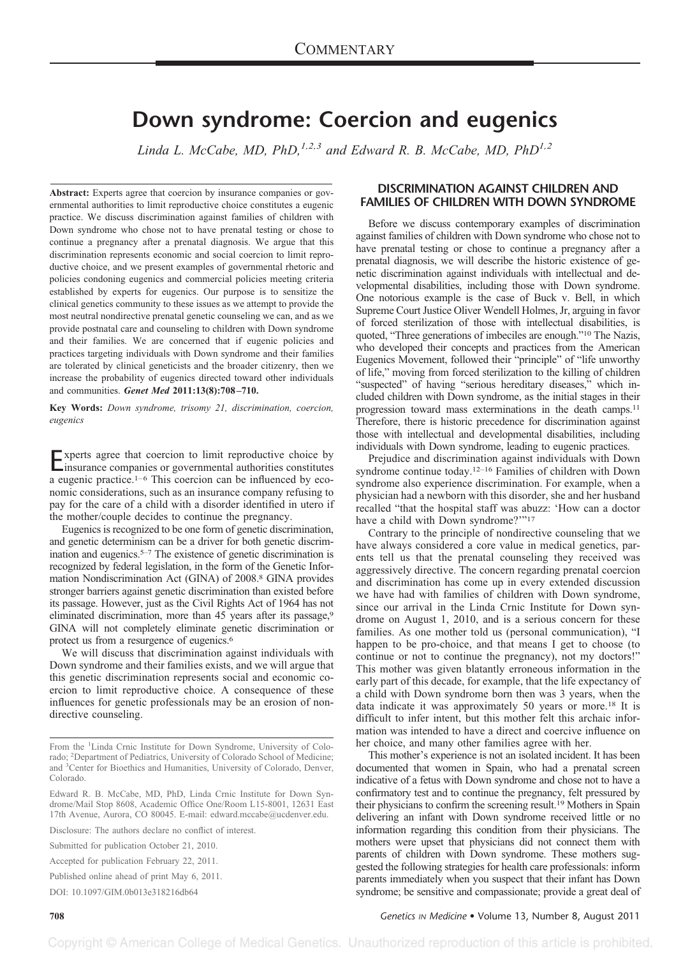# **Down syndrome: Coercion and eugenics**

Linda L. McCabe, MD, PhD,<sup>1,2,3</sup> and Edward R. B. McCabe, MD, PhD<sup>1,2</sup>

**Abstract:** Experts agree that coercion by insurance companies or governmental authorities to limit reproductive choice constitutes a eugenic practice. We discuss discrimination against families of children with Down syndrome who chose not to have prenatal testing or chose to continue a pregnancy after a prenatal diagnosis. We argue that this discrimination represents economic and social coercion to limit reproductive choice, and we present examples of governmental rhetoric and policies condoning eugenics and commercial policies meeting criteria established by experts for eugenics. Our purpose is to sensitize the clinical genetics community to these issues as we attempt to provide the most neutral nondirective prenatal genetic counseling we can, and as we provide postnatal care and counseling to children with Down syndrome and their families. We are concerned that if eugenic policies and practices targeting individuals with Down syndrome and their families are tolerated by clinical geneticists and the broader citizenry, then we increase the probability of eugenics directed toward other individuals and communities. *Genet Med* **2011:13(8):708 –710.**

**Key Words:** *Down syndrome, trisomy 21, discrimination, coercion, eugenics*

Experts agree that coercion to limit reproductive choice by insurance companies or governmental authorities constitutes a eugenic practice.1–6 This coercion can be influenced by economic considerations, such as an insurance company refusing to pay for the care of a child with a disorder identified in utero if the mother/couple decides to continue the pregnancy.

Eugenics is recognized to be one form of genetic discrimination, and genetic determinism can be a driver for both genetic discrimination and eugenics.<sup>5–7</sup> The existence of genetic discrimination is recognized by federal legislation, in the form of the Genetic Information Nondiscrimination Act (GINA) of 2008.8 GINA provides stronger barriers against genetic discrimination than existed before its passage. However, just as the Civil Rights Act of 1964 has not eliminated discrimination, more than 45 years after its passage,<sup>9</sup> GINA will not completely eliminate genetic discrimination or protect us from a resurgence of eugenics.6

We will discuss that discrimination against individuals with Down syndrome and their families exists, and we will argue that this genetic discrimination represents social and economic coercion to limit reproductive choice. A consequence of these influences for genetic professionals may be an erosion of nondirective counseling.

DOI: 10.1097/GIM.0b013e318216db64

# **DISCRIMINATION AGAINST CHILDREN AND FAMILIES OF CHILDREN WITH DOWN SYNDROME**

Before we discuss contemporary examples of discrimination against families of children with Down syndrome who chose not to have prenatal testing or chose to continue a pregnancy after a prenatal diagnosis, we will describe the historic existence of genetic discrimination against individuals with intellectual and developmental disabilities, including those with Down syndrome. One notorious example is the case of Buck v. Bell, in which Supreme Court Justice Oliver Wendell Holmes, Jr, arguing in favor of forced sterilization of those with intellectual disabilities, is quoted, "Three generations of imbeciles are enough."10 The Nazis, who developed their concepts and practices from the American Eugenics Movement, followed their "principle" of "life unworthy of life," moving from forced sterilization to the killing of children "suspected" of having "serious hereditary diseases," which included children with Down syndrome, as the initial stages in their progression toward mass exterminations in the death camps.11 Therefore, there is historic precedence for discrimination against those with intellectual and developmental disabilities, including individuals with Down syndrome, leading to eugenic practices.

Prejudice and discrimination against individuals with Down syndrome continue today.12–16 Families of children with Down syndrome also experience discrimination. For example, when a physician had a newborn with this disorder, she and her husband recalled "that the hospital staff was abuzz: 'How can a doctor have a child with Down syndrome?""<sup>17</sup>

Contrary to the principle of nondirective counseling that we have always considered a core value in medical genetics, parents tell us that the prenatal counseling they received was aggressively directive. The concern regarding prenatal coercion and discrimination has come up in every extended discussion we have had with families of children with Down syndrome, since our arrival in the Linda Crnic Institute for Down syndrome on August 1, 2010, and is a serious concern for these families. As one mother told us (personal communication), "I happen to be pro-choice, and that means I get to choose (to continue or not to continue the pregnancy), not my doctors!" This mother was given blatantly erroneous information in the early part of this decade, for example, that the life expectancy of a child with Down syndrome born then was 3 years, when the data indicate it was approximately 50 years or more.18 It is difficult to infer intent, but this mother felt this archaic information was intended to have a direct and coercive influence on her choice, and many other families agree with her.

This mother's experience is not an isolated incident. It has been documented that women in Spain, who had a prenatal screen indicative of a fetus with Down syndrome and chose not to have a confirmatory test and to continue the pregnancy, felt pressured by their physicians to confirm the screening result.19 Mothers in Spain delivering an infant with Down syndrome received little or no information regarding this condition from their physicians. The mothers were upset that physicians did not connect them with parents of children with Down syndrome. These mothers suggested the following strategies for health care professionals: inform parents immediately when you suspect that their infant has Down syndrome; be sensitive and compassionate; provide a great deal of

### **708** *Genetics IN Medicine* • Volume 13, Number 8, August 2011

Copyright © American College of Medical Genetics. Unauthorized reproduction of this article is prohibited.

From the <sup>1</sup>Linda Crnic Institute for Down Syndrome, University of Colorado; <sup>2</sup> Department of Pediatrics, University of Colorado School of Medicine; and <sup>3</sup> Center for Bioethics and Humanities, University of Colorado, Denver, Colorado.

Edward R. B. McCabe, MD, PhD, Linda Crnic Institute for Down Syndrome/Mail Stop 8608, Academic Office One/Room L15-8001, 12631 East 17th Avenue, Aurora, CO 80045. E-mail: edward.mccabe@ucdenver.edu.

Disclosure: The authors declare no conflict of interest.

Submitted for publication October 21, 2010.

Accepted for publication February 22, 2011.

Published online ahead of print May 6, 2011.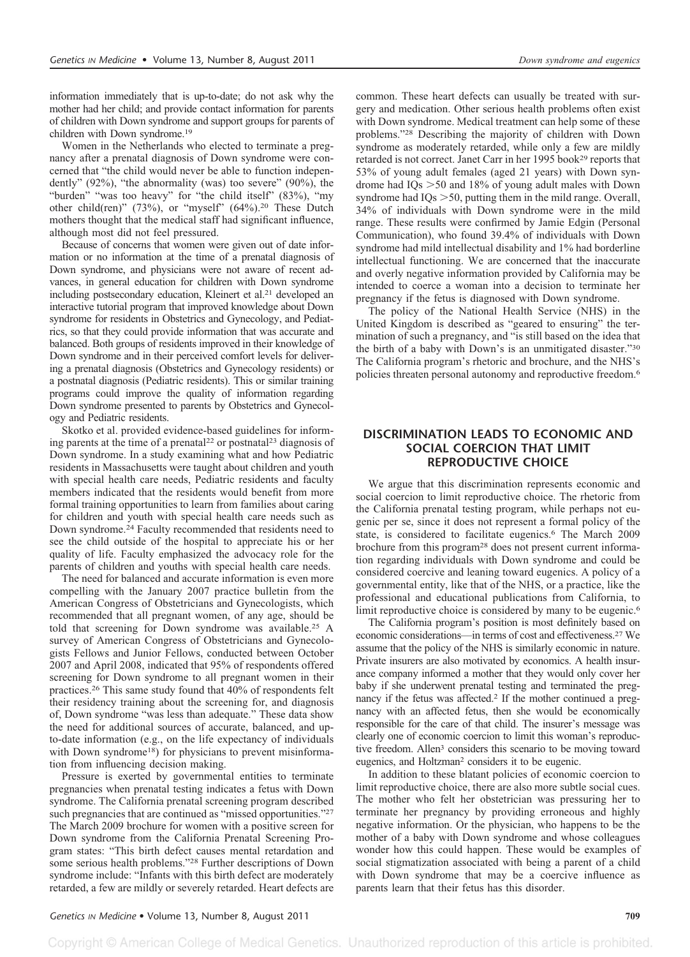information immediately that is up-to-date; do not ask why the mother had her child; and provide contact information for parents of children with Down syndrome and support groups for parents of children with Down syndrome.19

Women in the Netherlands who elected to terminate a pregnancy after a prenatal diagnosis of Down syndrome were concerned that "the child would never be able to function independently" (92%), "the abnormality (was) too severe" (90%), the "burden" "was too heavy" for "the child itself" (83%), "my other child(ren)" (73%), or "myself" (64%).20 These Dutch mothers thought that the medical staff had significant influence, although most did not feel pressured.

Because of concerns that women were given out of date information or no information at the time of a prenatal diagnosis of Down syndrome, and physicians were not aware of recent advances, in general education for children with Down syndrome including postsecondary education, Kleinert et al.<sup>21</sup> developed an interactive tutorial program that improved knowledge about Down syndrome for residents in Obstetrics and Gynecology, and Pediatrics, so that they could provide information that was accurate and balanced. Both groups of residents improved in their knowledge of Down syndrome and in their perceived comfort levels for delivering a prenatal diagnosis (Obstetrics and Gynecology residents) or a postnatal diagnosis (Pediatric residents). This or similar training programs could improve the quality of information regarding Down syndrome presented to parents by Obstetrics and Gynecology and Pediatric residents.

Skotko et al. provided evidence-based guidelines for informing parents at the time of a prenatal<sup>22</sup> or postnatal<sup>23</sup> diagnosis of Down syndrome. In a study examining what and how Pediatric residents in Massachusetts were taught about children and youth with special health care needs, Pediatric residents and faculty members indicated that the residents would benefit from more formal training opportunities to learn from families about caring for children and youth with special health care needs such as Down syndrome.24 Faculty recommended that residents need to see the child outside of the hospital to appreciate his or her quality of life. Faculty emphasized the advocacy role for the parents of children and youths with special health care needs.

The need for balanced and accurate information is even more compelling with the January 2007 practice bulletin from the American Congress of Obstetricians and Gynecologists, which recommended that all pregnant women, of any age, should be told that screening for Down syndrome was available.25 A survey of American Congress of Obstetricians and Gynecologists Fellows and Junior Fellows, conducted between October 2007 and April 2008, indicated that 95% of respondents offered screening for Down syndrome to all pregnant women in their practices.26 This same study found that 40% of respondents felt their residency training about the screening for, and diagnosis of, Down syndrome "was less than adequate." These data show the need for additional sources of accurate, balanced, and upto-date information (e.g., on the life expectancy of individuals with Down syndrome<sup>18</sup>) for physicians to prevent misinformation from influencing decision making.

Pressure is exerted by governmental entities to terminate pregnancies when prenatal testing indicates a fetus with Down syndrome. The California prenatal screening program described such pregnancies that are continued as "missed opportunities."<sup>27</sup> The March 2009 brochure for women with a positive screen for Down syndrome from the California Prenatal Screening Program states: "This birth defect causes mental retardation and some serious health problems."28 Further descriptions of Down syndrome include: "Infants with this birth defect are moderately retarded, a few are mildly or severely retarded. Heart defects are common. These heart defects can usually be treated with surgery and medication. Other serious health problems often exist with Down syndrome. Medical treatment can help some of these problems."28 Describing the majority of children with Down syndrome as moderately retarded, while only a few are mildly retarded is not correct. Janet Carr in her 1995 book<sup>29</sup> reports that 53% of young adult females (aged 21 years) with Down syndrome had  $IQs > 50$  and 18% of young adult males with Down syndrome had  $IQs > 50$ , putting them in the mild range. Overall, 34% of individuals with Down syndrome were in the mild range. These results were confirmed by Jamie Edgin (Personal Communication), who found 39.4% of individuals with Down syndrome had mild intellectual disability and 1% had borderline intellectual functioning. We are concerned that the inaccurate and overly negative information provided by California may be intended to coerce a woman into a decision to terminate her pregnancy if the fetus is diagnosed with Down syndrome.

The policy of the National Health Service (NHS) in the United Kingdom is described as "geared to ensuring" the termination of such a pregnancy, and "is still based on the idea that the birth of a baby with Down's is an unmitigated disaster."30 The California program's rhetoric and brochure, and the NHS's policies threaten personal autonomy and reproductive freedom.6

## **DISCRIMINATION LEADS TO ECONOMIC AND SOCIAL COERCION THAT LIMIT REPRODUCTIVE CHOICE**

We argue that this discrimination represents economic and social coercion to limit reproductive choice. The rhetoric from the California prenatal testing program, while perhaps not eugenic per se, since it does not represent a formal policy of the state, is considered to facilitate eugenics.<sup>6</sup> The March 2009 brochure from this program28 does not present current information regarding individuals with Down syndrome and could be considered coercive and leaning toward eugenics. A policy of a governmental entity, like that of the NHS, or a practice, like the professional and educational publications from California, to limit reproductive choice is considered by many to be eugenic.<sup>6</sup>

The California program's position is most definitely based on economic considerations—in terms of cost and effectiveness.27 We assume that the policy of the NHS is similarly economic in nature. Private insurers are also motivated by economics. A health insurance company informed a mother that they would only cover her baby if she underwent prenatal testing and terminated the pregnancy if the fetus was affected.2 If the mother continued a pregnancy with an affected fetus, then she would be economically responsible for the care of that child. The insurer's message was clearly one of economic coercion to limit this woman's reproductive freedom. Allen<sup>3</sup> considers this scenario to be moving toward eugenics, and Holtzman<sup>2</sup> considers it to be eugenic.

In addition to these blatant policies of economic coercion to limit reproductive choice, there are also more subtle social cues. The mother who felt her obstetrician was pressuring her to terminate her pregnancy by providing erroneous and highly negative information. Or the physician, who happens to be the mother of a baby with Down syndrome and whose colleagues wonder how this could happen. These would be examples of social stigmatization associated with being a parent of a child with Down syndrome that may be a coercive influence as parents learn that their fetus has this disorder.

Copyright © American College of Medical Genetics. Unauthorized reproduction of this article is prohibited.